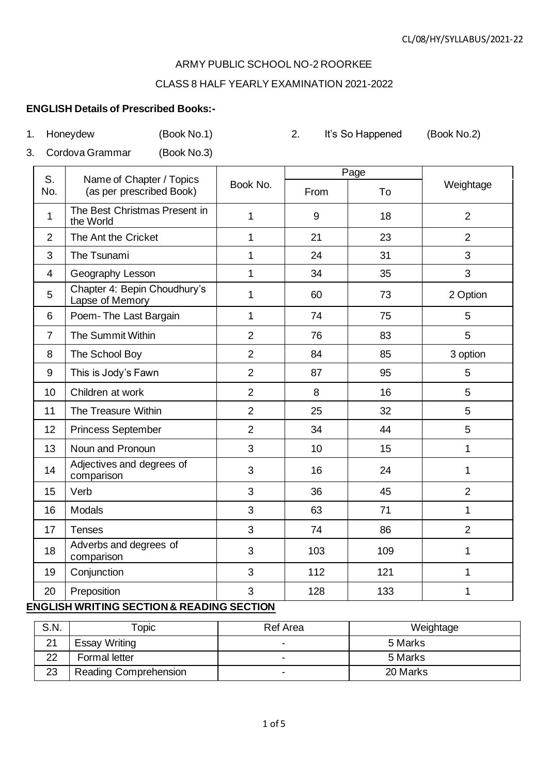#### ARMY PUBLIC SCHOOL NO-2 ROORKEE

#### CLASS 8 HALF YEARLY EXAMINATION 2021-2022

#### **ENGLISH Details of Prescribed Books:-**

| 1. |                | Honeydew<br>(Book No.1)                              |                          | 2.     | It's So Happened | (Book No.2)              |
|----|----------------|------------------------------------------------------|--------------------------|--------|------------------|--------------------------|
| 3. |                | Cordova Grammar<br>(Book No.3)                       |                          |        |                  |                          |
|    | S.             |                                                      |                          |        | Page             |                          |
|    | No.            | Name of Chapter / Topics<br>(as per prescribed Book) | Book No.                 | From   | To               | Weightage                |
|    | 1              | The Best Christmas Present in<br>the World           |                          | 9      | 18               | $\overline{2}$           |
|    | $\overline{2}$ | The Ant the Cricket                                  | 1                        | 21     | 23               | 2                        |
|    | 3              | The Tsunami                                          | 1                        | 24     | 31               | 3                        |
|    | 4              | Geography Lesson                                     | 1                        | 34     | 35               | 3                        |
|    | 5              | Chapter 4: Bepin Choudhury's<br>Lapse of Memory      | 1                        | 60     | 73               | 2 Option                 |
|    | 6              | Poem-The Last Bargain                                | 1                        | 74     | 75               | 5                        |
|    | $\overline{7}$ | The Summit Within                                    | $\overline{2}$           | 76     | 83               | 5                        |
|    | 8              | The School Boy                                       | $\overline{2}$           | 84     | 85               | 3 option                 |
|    | $\sim$         | ___________                                          | $\overline{\phantom{a}}$ | $\sim$ | $\sim$ $-$       | $\overline{\phantom{0}}$ |

| The School Boy                          | $\overline{2}$ | 84  | 85  | 3 option       |
|-----------------------------------------|----------------|-----|-----|----------------|
| This is Jody's Fawn                     | $\overline{2}$ | 87  | 95  | 5              |
| Children at work                        | $\overline{2}$ | 8   | 16  | 5              |
| The Treasure Within                     | $\overline{2}$ | 25  | 32  | 5              |
| <b>Princess September</b>               | $\overline{2}$ | 34  | 44  | 5              |
| Noun and Pronoun                        | 3              | 10  | 15  |                |
| Adjectives and degrees of<br>comparison | 3              | 16  | 24  |                |
| Verb                                    | 3              | 36  | 45  | $\overline{2}$ |
| Modals                                  | 3              | 63  | 71  | 1              |
| Tenses                                  | 3              | 74  | 86  | $\overline{2}$ |
| Adverbs and degrees of<br>comparison    | 3              | 103 | 109 | 1              |
| Conjunction                             | 3              | 112 | 121 | 1              |
| Preposition                             | 3              | 128 | 133 |                |
|                                         |                |     |     |                |

# **ENGLISH WRITING SECTION & READING SECTION**

| S.N. | Topic                        | <b>Ref Area</b>          | Weightage |
|------|------------------------------|--------------------------|-----------|
| 21   | Essay Writing                |                          | 5 Marks   |
| 22   | Formal letter                |                          | 5 Marks   |
| 23   | <b>Reading Comprehension</b> | $\overline{\phantom{0}}$ | 20 Marks  |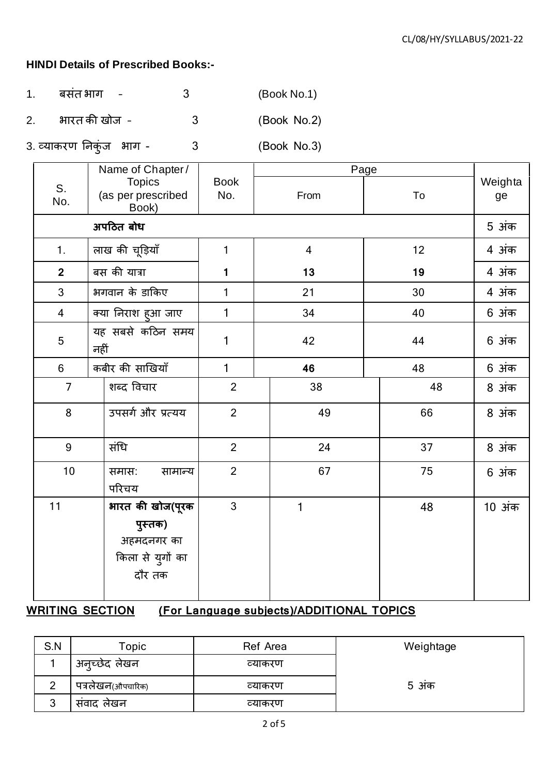## **HINDI Details of Prescribed Books:-**

- 1. बसंत भाग 3 (Book No.1)
- 2. भारत की खोज 3 (Book No.2)
- 3. व्याकरण निकुंज भाग 3 (Book No.3)

|                | Name of Chapter/                                                        | Page               |                |    |               |
|----------------|-------------------------------------------------------------------------|--------------------|----------------|----|---------------|
| S.<br>No.      | <b>Topics</b><br>(as per prescribed<br>Book)                            | <b>Book</b><br>No. | From           | To | Weighta<br>ge |
|                | अपठित बोध                                                               |                    |                |    | 5 अंक         |
| 1.             | लाख की चूड़ियाँ                                                         | $\mathbf{1}$       | $\overline{4}$ | 12 | 4 अंक         |
| $\overline{2}$ | बस की यात्रा                                                            | 1                  | 13             | 19 | 4 अंक         |
| $\mathfrak{Z}$ | भगवान के डाकिए                                                          | $\mathbf{1}$       | 21             | 30 | 4 अंक         |
| $\overline{4}$ | क्या निराश हुआ जाए                                                      | 1                  | 34             | 40 | 6 अंक         |
| 5              | यह सबसे कठिन समय<br>नहीं                                                | 1                  | 42             | 44 | 6 अंक         |
| $6\phantom{a}$ | कबीर की साखियाँ                                                         | $\mathbf{1}$       | 46             | 48 | 6 अंक         |
| $\overline{7}$ | शब्द विचार                                                              | $\overline{2}$     | 38             | 48 | 8 अंक         |
| 8              | उपसर्ग और प्रत्यय                                                       | $\overline{2}$     | 49             | 66 | 8 अंक         |
| 9              | संधि                                                                    | $\overline{2}$     | 24             | 37 | 8 अंक         |
| 10             | समास:<br>सामान्य<br>परिचय                                               | $\overline{2}$     | 67             | 75 | 6 अंक         |
| 11             | भारत की खोज(पूरक<br>पुस्तक)<br>अहमदनगर का<br>किला से युगों का<br>दौर तक | $\mathfrak{S}$     | 1              | 48 | 10 अंक        |

# **WRITING SECTION (For Language subjects)/ADDITIONAL TOPICS**

| S.N    | Topic             | Ref Area | Weightage |
|--------|-------------------|----------|-----------|
|        | अन्च्छेद लेखन     | व्याकरण  |           |
| ⌒      | पत्रलेखन(औपचारिक) | व्याकरण  | 5 अंक     |
| ◠<br>J | सवाद लेखन         | व्याकरण  |           |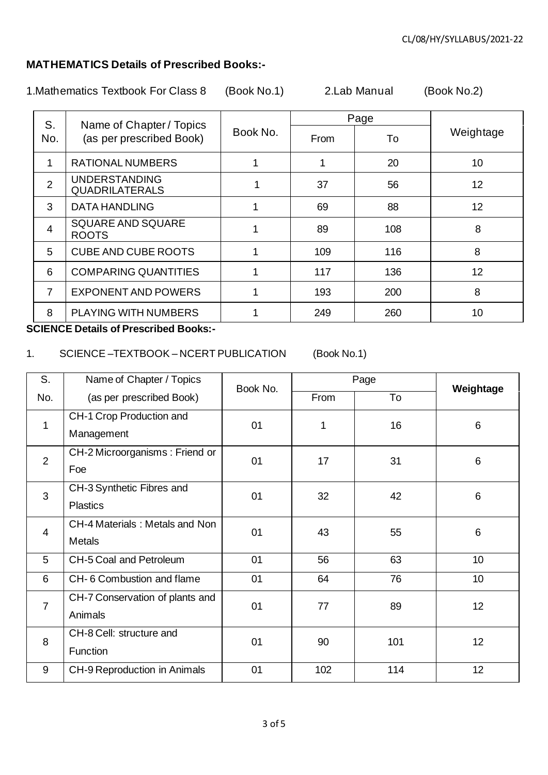## **MATHEMATICS Details of Prescribed Books:-**

1.Mathematics Textbook For Class 8 (Book No.1) 2.Lab Manual (Book No.2)

| S.             | Name of Chapter / Topics                      |          |      | Page |           |
|----------------|-----------------------------------------------|----------|------|------|-----------|
| No.            | (as per prescribed Book)                      | Book No. | From | To   | Weightage |
|                | <b>RATIONAL NUMBERS</b>                       |          |      | 20   | 10        |
| $\overline{2}$ | <b>UNDERSTANDING</b><br><b>QUADRILATERALS</b> |          | 37   | 56   | 12        |
| 3              | <b>DATA HANDLING</b>                          |          | 69   | 88   | 12        |
| 4              | <b>SQUARE AND SQUARE</b><br><b>ROOTS</b>      |          | 89   | 108  | 8         |
| 5              | <b>CUBE AND CUBE ROOTS</b>                    |          | 109  | 116  | 8         |
| 6              | <b>COMPARING QUANTITIES</b>                   |          | 117  | 136  | 12        |
| 7              | <b>EXPONENT AND POWERS</b>                    |          | 193  | 200  | 8         |
| 8              | PLAYING WITH NUMBERS                          |          | 249  | 260  | 10        |

**SCIENCE Details of Prescribed Books:-**

#### 1. SCIENCE –TEXTBOOK – NCERT PUBLICATION (Book No.1)

S. No. Name of Chapter / Topics (as per prescribed Book) Book No. Page **Weightage** From To 1 CH-1 Crop Production and Management 01 1 16 6 2 CH-2 Microorganisms : Friend or Foe 01 17 31 6 3 CH-3 Synthetic Fibres and **Plastics** 01 32 42 6 4 CH-4 Materials : Metals and Non Metals 01 43 55 6 5 CH-5 Coal and Petroleum 1 01 56 1 63 1 0 6 CH- 6 Combustion and flame 1 01 64 76 10 7 CH-7 Conservation of plants and Animals 01 77 89 12 8 CH-8 Cell: structure and **Function** 01 | 90 | 101 | 12 9 CH-9 Reproduction in Animals | 01 | 102 | 114 | 12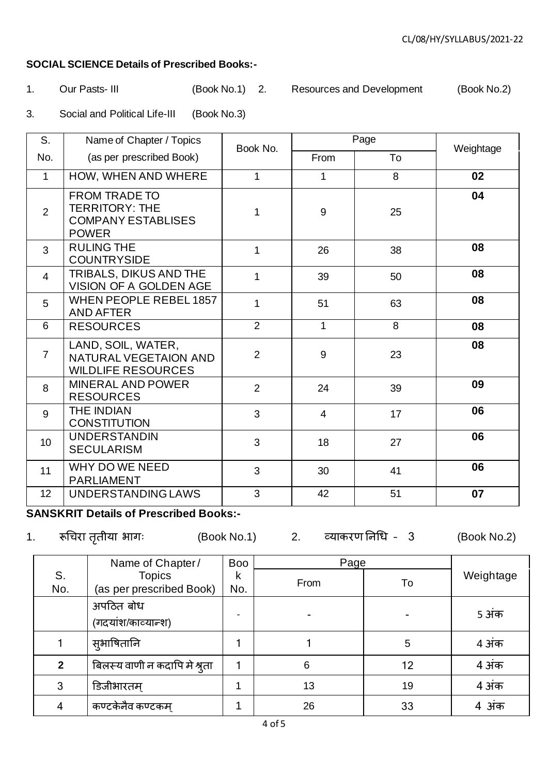### **SOCIAL SCIENCE Details of Prescribed Books:-**

1. Our Pasts- III (Book No.1) 2. Resources and Development (Book No.2)

3. Social and Political Life-III (Book No.3)

| S.              | Name of Chapter / Topics                                                                   | Page<br>Book No. |                | Weightage |    |
|-----------------|--------------------------------------------------------------------------------------------|------------------|----------------|-----------|----|
| No.             | (as per prescribed Book)                                                                   |                  | From           | To        |    |
| $\mathbf{1}$    | HOW, WHEN AND WHERE                                                                        | 1                | 1              | 8         | 02 |
| $\overline{2}$  | <b>FROM TRADE TO</b><br><b>TERRITORY: THE</b><br><b>COMPANY ESTABLISES</b><br><b>POWER</b> | 1                | 9              | 25        | 04 |
| 3               | <b>RULING THE</b><br><b>COUNTRYSIDE</b>                                                    | 1                | 26             | 38        | 08 |
| $\overline{4}$  | TRIBALS, DIKUS AND THE<br>VISION OF A GOLDEN AGE                                           | 1                | 39             | 50        | 08 |
| 5               | <b>WHEN PEOPLE REBEL 1857</b><br><b>AND AFTER</b>                                          | 1                | 51             | 63        | 08 |
| 6               | <b>RESOURCES</b>                                                                           | $\overline{2}$   | 1              | 8         | 08 |
| $\overline{7}$  | LAND, SOIL, WATER,<br>NATURAL VEGETAION AND<br><b>WILDLIFE RESOURCES</b>                   | $\overline{2}$   | 9              | 23        | 08 |
| 8               | <b>MINERAL AND POWER</b><br><b>RESOURCES</b>                                               | $\overline{2}$   | 24             | 39        | 09 |
| 9               | <b>THE INDIAN</b><br><b>CONSTITUTION</b>                                                   | 3                | $\overline{4}$ | 17        | 06 |
| 10              | <b>UNDERSTANDIN</b><br><b>SECULARISM</b>                                                   | 3                | 18             | 27        | 06 |
| 11              | WHY DO WE NEED<br><b>PARLIAMENT</b>                                                        | 3                | 30             | 41        | 06 |
| 12 <sup>2</sup> | UNDERSTANDING LAWS                                                                         | 3                | 42             | 51        | 07 |

# **SANSKRIT Details of Prescribed Books:-**

1. रूधचरा तृतीया भागः (Book No.1) 2. व्याकरण निधि – 3 (Book No.2)

|                | Name of Chapter/                | <b>Boo</b> | Page |    |           |
|----------------|---------------------------------|------------|------|----|-----------|
| S.             | <b>Topics</b>                   | k          | From |    | Weightage |
| No.            | (as per prescribed Book)        | No.        |      | To |           |
|                | अपठित बोध<br>(गदयांश/काव्यान्श) |            |      |    | 5 अंक     |
|                | सुभाषितानि                      |            |      | 5  | 4 अंक     |
| $\overline{2}$ | बिलस्य वाणी न कदापि मे श्रुता   |            | 6    | 12 | 4 अंक     |
| 3              | डिजीभारतम्                      |            | 13   | 19 | 4 अंक     |
| 4              | कण्टकेनैव कण्टकम्               |            | 26   | 33 | 4 अंक     |